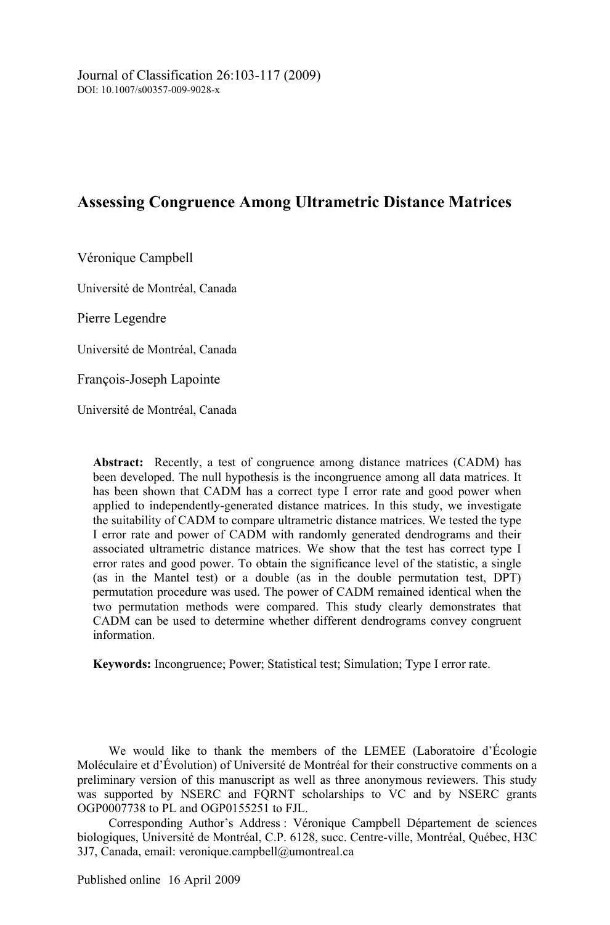# **Assessing Congruence Among Ultrametric Distance Matrices**

Véronique Campbell

Université de Montréal, Canada

Pierre Legendre

Université de Montréal, Canada

François-Joseph Lapointe

Université de Montréal, Canada

**Abstract:** Recently, a test of congruence among distance matrices (CADM) has been developed. The null hypothesis is the incongruence among all data matrices. It has been shown that CADM has a correct type I error rate and good power when applied to independently-generated distance matrices. In this study, we investigate the suitability of CADM to compare ultrametric distance matrices. We tested the type I error rate and power of CADM with randomly generated dendrograms and their associated ultrametric distance matrices. We show that the test has correct type I error rates and good power. To obtain the significance level of the statistic, a single (as in the Mantel test) or a double (as in the double permutation test, DPT) permutation procedure was used. The power of CADM remained identical when the two permutation methods were compared. This study clearly demonstrates that CADM can be used to determine whether different dendrograms convey congruent information.

**Keywords:** Incongruence; Power; Statistical test; Simulation; Type I error rate.

We would like to thank the members of the LEMEE (Laboratoire d'Écologie Moléculaire et d'Évolution) of Université de Montréal for their constructive comments on a preliminary version of this manuscript as well as three anonymous reviewers. This study was supported by NSERC and FQRNT scholarships to VC and by NSERC grants OGP0007738 to PL and OGP0155251 to FJL.

Corresponding Author's Address : Véronique Campbell Département de sciences biologiques, Université de Montréal, C.P. 6128, succ. Centre-ville, Montréal, Québec, H3C 3J7, Canada, email: veronique.campbell@umontreal.ca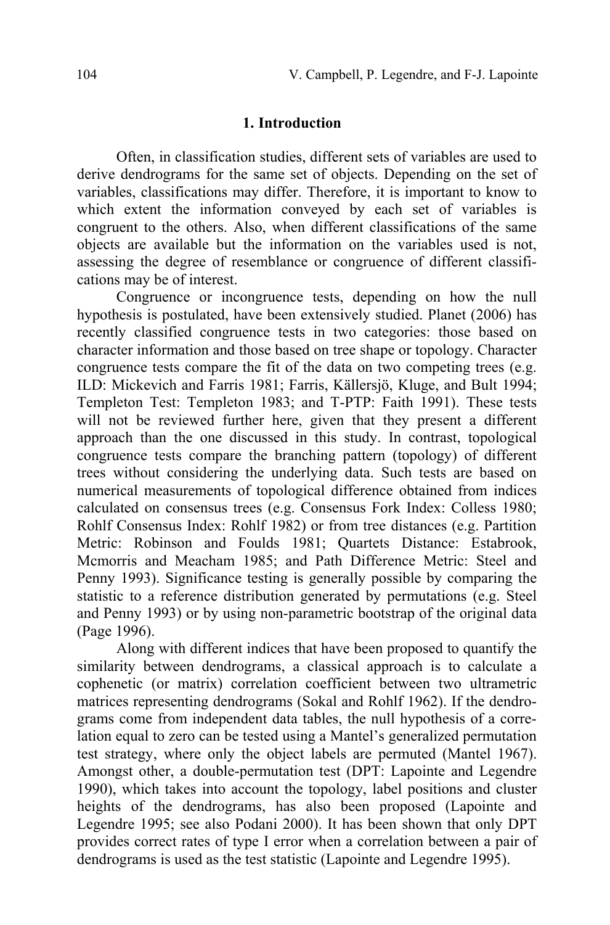### **1. Introduction**

Often, in classification studies, different sets of variables are used to derive dendrograms for the same set of objects. Depending on the set of variables, classifications may differ. Therefore, it is important to know to which extent the information conveyed by each set of variables is congruent to the others. Also, when different classifications of the same objects are available but the information on the variables used is not, assessing the degree of resemblance or congruence of different classifications may be of interest.

Congruence or incongruence tests, depending on how the null hypothesis is postulated, have been extensively studied. Planet (2006) has recently classified congruence tests in two categories: those based on character information and those based on tree shape or topology. Character congruence tests compare the fit of the data on two competing trees (e.g. ILD: Mickevich and Farris 1981; Farris, Källersjö, Kluge, and Bult 1994; Templeton Test: Templeton 1983; and T-PTP: Faith 1991). These tests will not be reviewed further here, given that they present a different approach than the one discussed in this study. In contrast, topological congruence tests compare the branching pattern (topology) of different trees without considering the underlying data. Such tests are based on numerical measurements of topological difference obtained from indices calculated on consensus trees (e.g. Consensus Fork Index: Colless 1980; Rohlf Consensus Index: Rohlf 1982) or from tree distances (e.g. Partition Metric: Robinson and Foulds 1981; Quartets Distance: Estabrook, Mcmorris and Meacham 1985; and Path Difference Metric: Steel and Penny 1993). Significance testing is generally possible by comparing the statistic to a reference distribution generated by permutations (e.g. Steel and Penny 1993) or by using non-parametric bootstrap of the original data (Page 1996).

Along with different indices that have been proposed to quantify the similarity between dendrograms, a classical approach is to calculate a cophenetic (or matrix) correlation coefficient between two ultrametric matrices representing dendrograms (Sokal and Rohlf 1962). If the dendrograms come from independent data tables, the null hypothesis of a correlation equal to zero can be tested using a Mantel's generalized permutation test strategy, where only the object labels are permuted (Mantel 1967). Amongst other, a double-permutation test (DPT: Lapointe and Legendre 1990), which takes into account the topology, label positions and cluster heights of the dendrograms, has also been proposed (Lapointe and Legendre 1995; see also Podani 2000). It has been shown that only DPT provides correct rates of type I error when a correlation between a pair of dendrograms is used as the test statistic (Lapointe and Legendre 1995).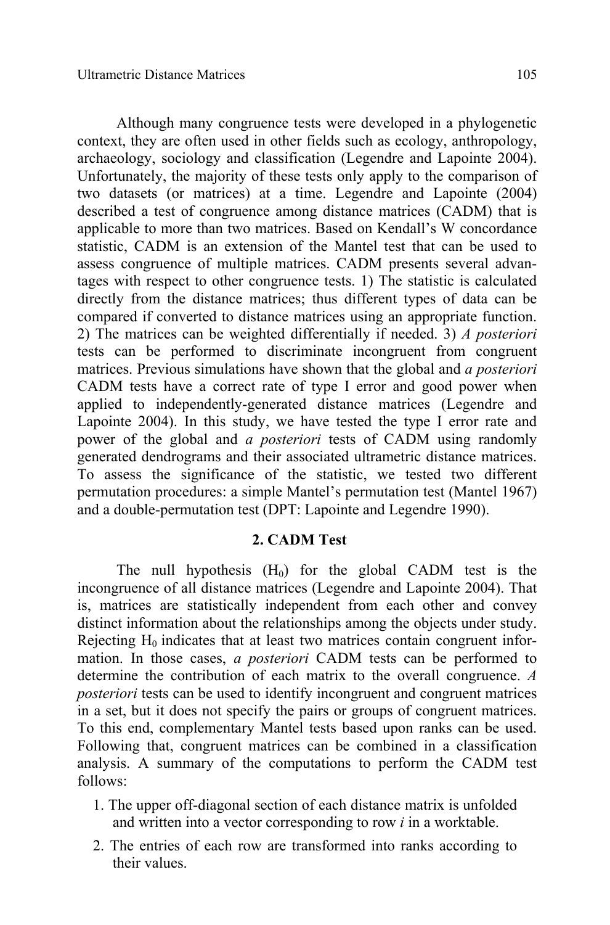Although many congruence tests were developed in a phylogenetic context, they are often used in other fields such as ecology, anthropology, archaeology, sociology and classification (Legendre and Lapointe 2004). Unfortunately, the majority of these tests only apply to the comparison of two datasets (or matrices) at a time. Legendre and Lapointe (2004) described a test of congruence among distance matrices (CADM) that is applicable to more than two matrices. Based on Kendall's W concordance statistic, CADM is an extension of the Mantel test that can be used to assess congruence of multiple matrices. CADM presents several advantages with respect to other congruence tests. 1) The statistic is calculated directly from the distance matrices; thus different types of data can be compared if converted to distance matrices using an appropriate function. 2) The matrices can be weighted differentially if needed. 3) *A posteriori* tests can be performed to discriminate incongruent from congruent matrices. Previous simulations have shown that the global and *a posteriori*  CADM tests have a correct rate of type I error and good power when applied to independently-generated distance matrices (Legendre and Lapointe 2004). In this study, we have tested the type I error rate and power of the global and *a posteriori* tests of CADM using randomly generated dendrograms and their associated ultrametric distance matrices. To assess the significance of the statistic, we tested two different permutation procedures: a simple Mantel's permutation test (Mantel 1967) and a double-permutation test (DPT: Lapointe and Legendre 1990).

### **2. CADM Test**

The null hypothesis  $(H_0)$  for the global CADM test is the incongruence of all distance matrices (Legendre and Lapointe 2004). That is, matrices are statistically independent from each other and convey distinct information about the relationships among the objects under study. Rejecting  $H_0$  indicates that at least two matrices contain congruent information. In those cases, *a posteriori* CADM tests can be performed to determine the contribution of each matrix to the overall congruence. *A posteriori* tests can be used to identify incongruent and congruent matrices in a set, but it does not specify the pairs or groups of congruent matrices. To this end, complementary Mantel tests based upon ranks can be used. Following that, congruent matrices can be combined in a classification analysis. A summary of the computations to perform the CADM test follows:

- 1. The upper off-diagonal section of each distance matrix is unfolded and written into a vector corresponding to row *i* in a worktable.
- 2. The entries of each row are transformed into ranks according to their values.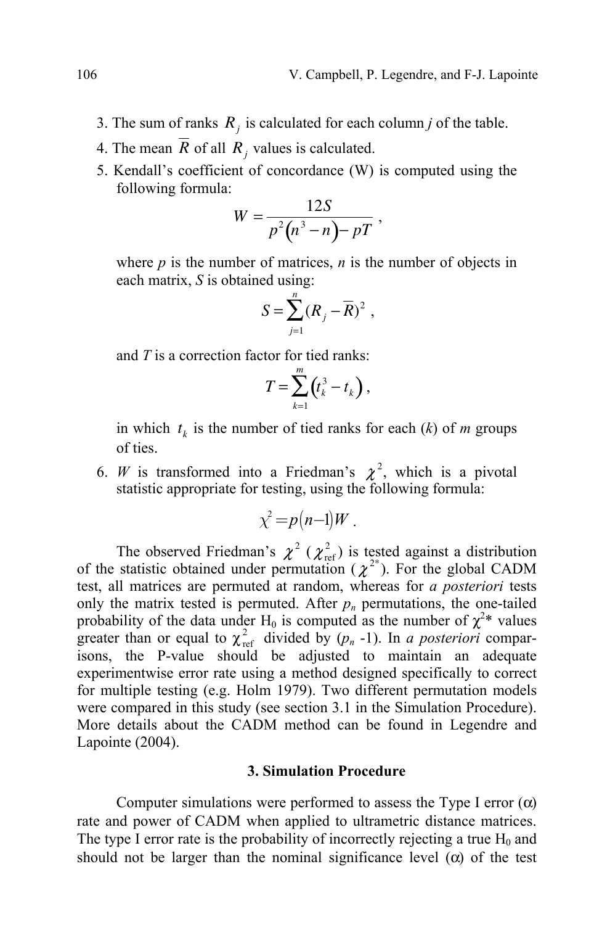- 3. The sum of ranks  $R_i$  is calculated for each column *j* of the table.
- 4. The mean  $\overline{R}$  of all  $R_i$ , values is calculated.
- 5. Kendall's coefficient of concordance (W) is computed using the following formula:

$$
W=\frac{12S}{p^2(n^3-n)-pT},
$$

where  $p$  is the number of matrices,  $n$  is the number of objects in each matrix, *S* is obtained using:

$$
S=\sum_{j=1}^n (R_j-\overline{R})^2 ,
$$

and *T* is a correction factor for tied ranks:

$$
T=\sum_{k=1}^m\left(t_k^3-t_k\right),\,
$$

in which  $t_k$  is the number of tied ranks for each  $(k)$  of *m* groups of ties.

6. *W* is transformed into a Friedman's  $\chi^2$ , which is a pivotal statistic appropriate for testing, using the following formula:

$$
\chi^2 = p(n-1)W.
$$

The observed Friedman's  $\chi^2$  ( $\chi^2_{\text{ref}}$ ) is tested against a distribution of the statistic obtained under permutation ( $\chi^{2^*}$ ). For the global CADM test, all matrices are permuted at random, whereas for *a posteriori* tests only the matrix tested is permuted. After  $p_n$  permutations, the one-tailed probability of the data under H<sub>0</sub> is computed as the number of  $\chi^{2*}$  values greater than or equal to  $\chi^2_{\text{ref}}$  divided by  $(p_n -1)$ . In *a posteriori* comparisons, the P-value should be adjusted to maintain an adequate experimentwise error rate using a method designed specifically to correct for multiple testing (e.g. Holm 1979). Two different permutation models were compared in this study (see section 3.1 in the Simulation Procedure). More details about the CADM method can be found in Legendre and Lapointe (2004).

### **3. Simulation Procedure**

Computer simulations were performed to assess the Type I error  $(\alpha)$ rate and power of CADM when applied to ultrametric distance matrices. The type I error rate is the probability of incorrectly rejecting a true  $H_0$  and should not be larger than the nominal significance level  $(\alpha)$  of the test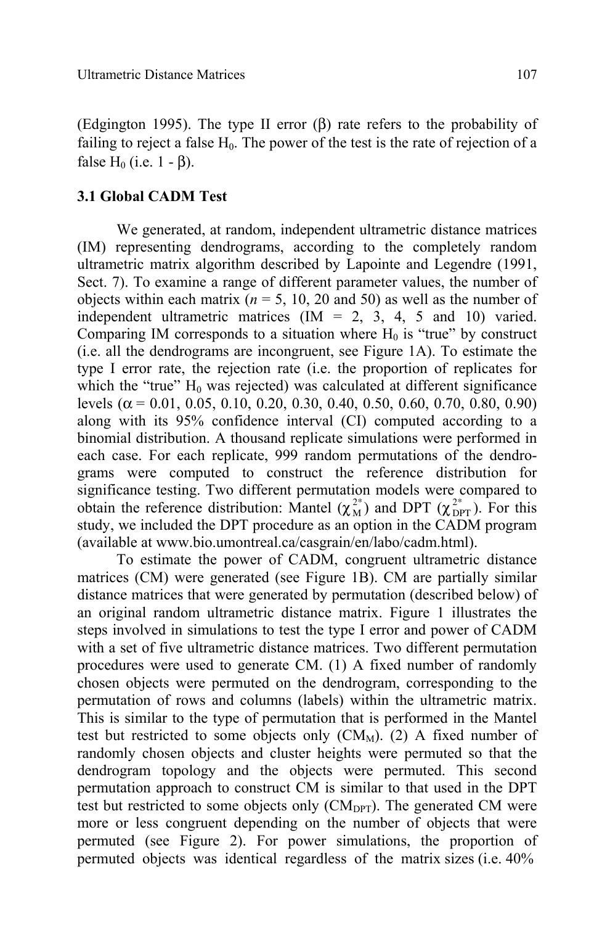(Edgington 1995). The type II error (β) rate refers to the probability of failing to reject a false  $H_0$ . The power of the test is the rate of rejection of a false  $H_0$  (i.e. 1 - β).

## **3.1 Global CADM Test**

We generated, at random, independent ultrametric distance matrices (IM) representing dendrograms, according to the completely random ultrametric matrix algorithm described by Lapointe and Legendre (1991, Sect. 7). To examine a range of different parameter values, the number of objects within each matrix ( $n = 5$ , 10, 20 and 50) as well as the number of independent ultrametric matrices  $(IM = 2, 3, 4, 5, and 10)$  varied. Comparing IM corresponds to a situation where  $H_0$  is "true" by construct (i.e. all the dendrograms are incongruent, see Figure 1A). To estimate the type I error rate, the rejection rate (i.e. the proportion of replicates for which the "true"  $H_0$  was rejected) was calculated at different significance levels ( $\alpha$  = 0.01, 0.05, 0.10, 0.20, 0.30, 0.40, 0.50, 0.60, 0.70, 0.80, 0.90) along with its 95% confidence interval (CI) computed according to a binomial distribution. A thousand replicate simulations were performed in each case. For each replicate, 999 random permutations of the dendrograms were computed to construct the reference distribution for significance testing. Two different permutation models were compared to obtain the reference distribution: Mantel  $(\chi_M^{2*})$  and DPT  $(\chi_{\text{DPT}}^{2*})$ . For this study, we included the DPT procedure as an option in the CADM program (available at www.bio.umontreal.ca/casgrain/en/labo/cadm.html).

To estimate the power of CADM, congruent ultrametric distance matrices (CM) were generated (see Figure 1B). CM are partially similar distance matrices that were generated by permutation (described below) of an original random ultrametric distance matrix. Figure 1 illustrates the steps involved in simulations to test the type I error and power of CADM with a set of five ultrametric distance matrices. Two different permutation procedures were used to generate CM. (1) A fixed number of randomly chosen objects were permuted on the dendrogram, corresponding to the permutation of rows and columns (labels) within the ultrametric matrix. This is similar to the type of permutation that is performed in the Mantel test but restricted to some objects only  $(CM_M)$ . (2) A fixed number of randomly chosen objects and cluster heights were permuted so that the dendrogram topology and the objects were permuted. This second permutation approach to construct CM is similar to that used in the DPT test but restricted to some objects only  $(CM_{DPT})$ . The generated CM were more or less congruent depending on the number of objects that were permuted (see Figure 2). For power simulations, the proportion of permuted objects was identical regardless of the matrix sizes (i.e. 40%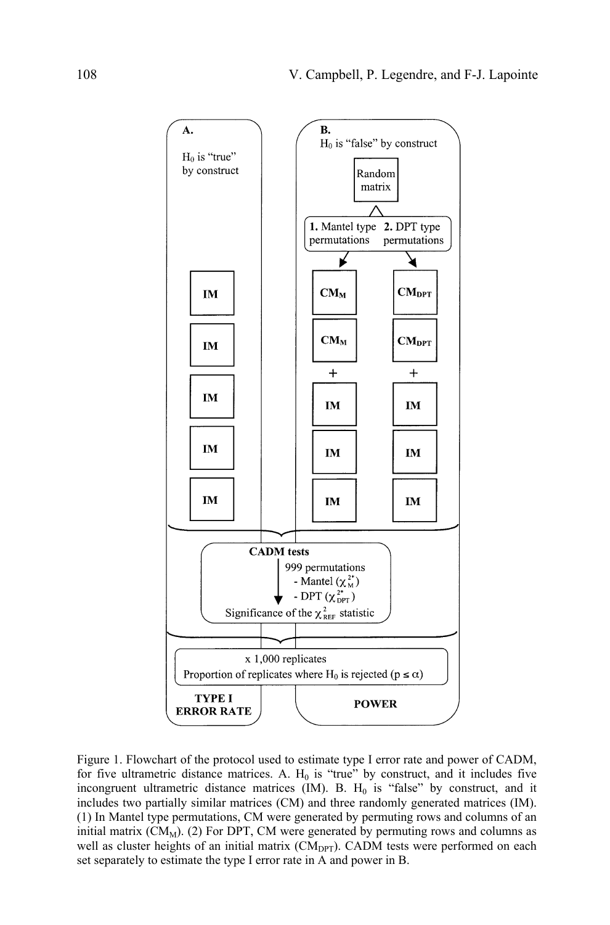

Figure 1. Flowchart of the protocol used to estimate type I error rate and power of CADM, for five ultrametric distance matrices. A.  $H_0$  is "true" by construct, and it includes five incongruent ultrametric distance matrices  $(M)$ . B.  $H_0$  is "false" by construct, and it includes two partially similar matrices (CM) and three randomly generated matrices (IM). (1) In Mantel type permutations, CM were generated by permuting rows and columns of an initial matrix  $(CM_M)$ . (2) For DPT, CM were generated by permuting rows and columns as well as cluster heights of an initial matrix (CM<sub>DPT</sub>). CADM tests were performed on each set separately to estimate the type I error rate in A and power in B.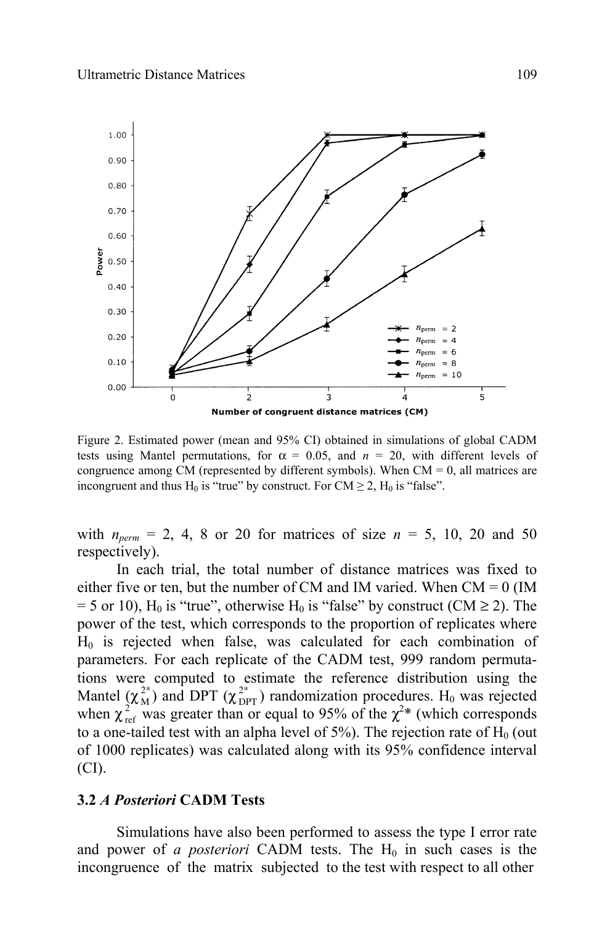

Figure 2. Estimated power (mean and 95% CI) obtained in simulations of global CADM tests using Mantel permutations, for  $\alpha = 0.05$ , and  $n = 20$ , with different levels of congruence among CM (represented by different symbols). When  $CM = 0$ , all matrices are incongruent and thus H<sub>0</sub> is "true" by construct. For CM  $\geq$  2, H<sub>0</sub> is "false".

with  $n_{perm} = 2, 4, 8$  or 20 for matrices of size  $n = 5, 10, 20$  and 50 respectively).

In each trial, the total number of distance matrices was fixed to either five or ten, but the number of CM and IM varied. When  $CM = 0$  (IM  $= 5$  or 10), H<sub>0</sub> is "true", otherwise H<sub>0</sub> is "false" by construct (CM  $\geq$  2). The power of the test, which corresponds to the proportion of replicates where  $H<sub>0</sub>$  is rejected when false, was calculated for each combination of parameters. For each replicate of the CADM test, 999 random permutations were computed to estimate the reference distribution using the Mantel  $(\chi_M^{2*})$  and DPT  $(\chi_{\text{DPT}}^{2*})$  randomization procedures. H<sub>0</sub> was rejected when  $\chi^2_{\text{ref}}$  was greater than or equal to 95% of the  $\chi^2$ <sup>\*</sup> (which corresponds to a one-tailed test with an alpha level of  $5\%$ ). The rejection rate of H<sub>0</sub> (out of 1000 replicates) was calculated along with its 95% confidence interval (CI).

### **3.2** *A Posteriori* **CADM Tests**

 Simulations have also been performed to assess the type I error rate and power of *a posteriori* CADM tests. The  $H_0$  in such cases is the incongruence of the matrix subjected to the test with respect to all other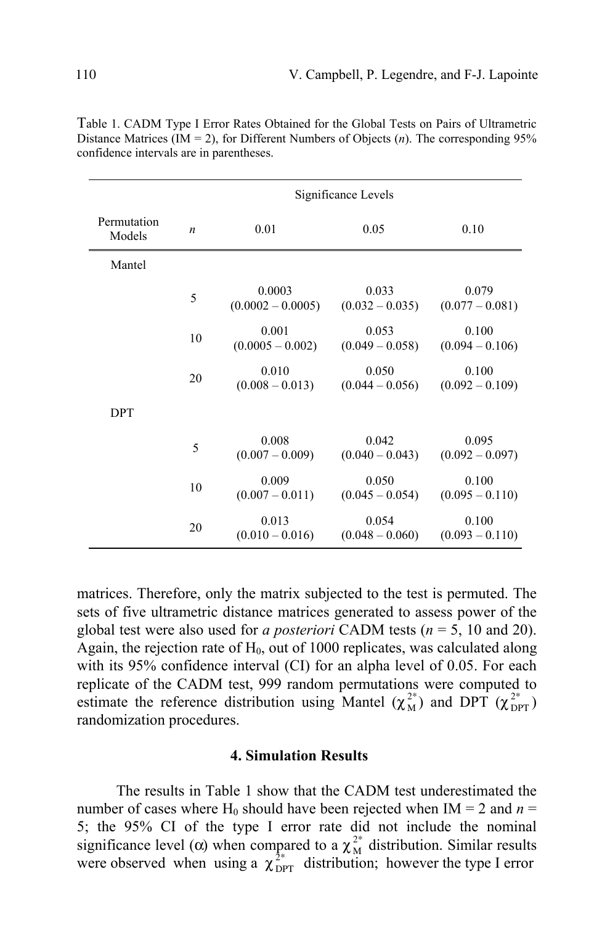|                       | Significance Levels |                               |                            |                            |
|-----------------------|---------------------|-------------------------------|----------------------------|----------------------------|
| Permutation<br>Models | $\boldsymbol{n}$    | 0.01                          | 0.05                       | 0.10                       |
| Mantel                |                     |                               |                            |                            |
|                       | 5                   | 0.0003<br>$(0.0002 - 0.0005)$ | 0.033<br>$(0.032 - 0.035)$ | 0.079<br>$(0.077 - 0.081)$ |
|                       | 10                  | 0.001<br>$(0.0005 - 0.002)$   | 0.053<br>$(0.049 - 0.058)$ | 0.100<br>$(0.094 - 0.106)$ |
|                       | 20                  | 0.010<br>$(0.008 - 0.013)$    | 0.050<br>$(0.044 - 0.056)$ | 0.100<br>$(0.092 - 0.109)$ |
| <b>DPT</b>            |                     |                               |                            |                            |
|                       | 5                   | 0.008<br>$(0.007 - 0.009)$    | 0.042<br>$(0.040 - 0.043)$ | 0.095<br>$(0.092 - 0.097)$ |
|                       | 10                  | 0.009<br>$(0.007 - 0.011)$    | 0.050<br>$(0.045 - 0.054)$ | 0.100<br>$(0.095 - 0.110)$ |
|                       | 20                  | 0.013<br>$(0.010 - 0.016)$    | 0.054<br>$(0.048 - 0.060)$ | 0.100<br>$(0.093 - 0.110)$ |

Table 1. CADM Type I Error Rates Obtained for the Global Tests on Pairs of Ultrametric Distance Matrices ( $IM = 2$ ), for Different Numbers of Objects (*n*). The corresponding 95% confidence intervals are in parentheses.

matrices. Therefore, only the matrix subjected to the test is permuted. The sets of five ultrametric distance matrices generated to assess power of the global test were also used for *a posteriori* CADM tests (*n* = 5, 10 and 20). Again, the rejection rate of  $H<sub>0</sub>$ , out of 1000 replicates, was calculated along with its 95% confidence interval (CI) for an alpha level of 0.05. For each replicate of the CADM test, 999 random permutations were computed to estimate the reference distribution using Mantel ( $\chi^{2*}_{M}$ ) and DPT ( $\chi^{2*}_{DPT}$ ) randomization procedures.

### **4. Simulation Results**

The results in Table 1 show that the CADM test underestimated the number of cases where H<sub>0</sub> should have been rejected when IM = 2 and  $n =$ 5; the 95% CI of the type I error rate did not include the nominal significance level ( $\alpha$ ) when compared to a  $\chi^{2*}_{\rm M}$  distribution. Similar results were observed when using a  $\chi^{2*}_{\text{DPT}}$  distribution; however the type I error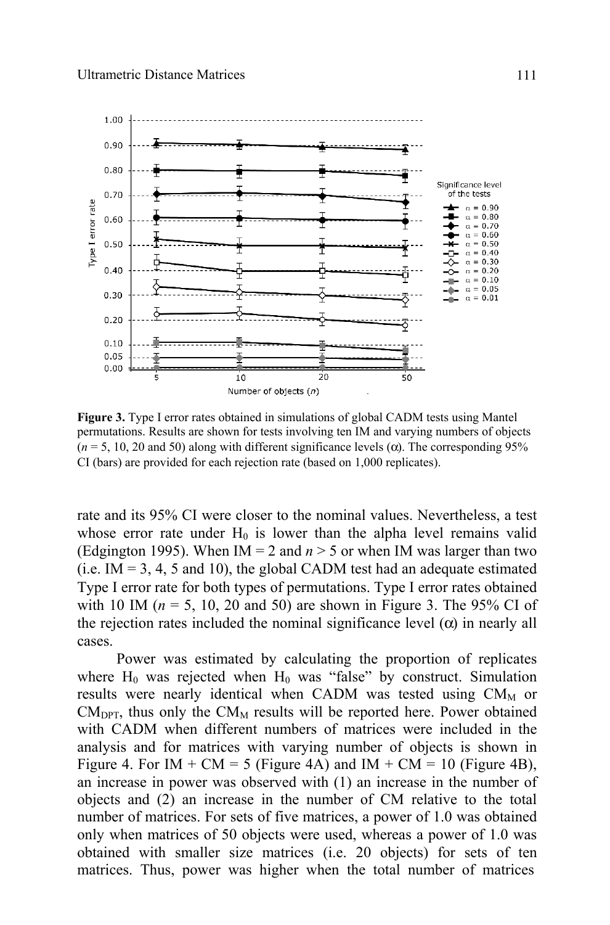

**Figure 3.** Type I error rates obtained in simulations of global CADM tests using Mantel permutations. Results are shown for tests involving ten IM and varying numbers of objects  $(n = 5, 10, 20, \text{ and } 50)$  along with different significance levels ( $\alpha$ ). The corresponding 95% CI (bars) are provided for each rejection rate (based on 1,000 replicates).

rate and its 95% CI were closer to the nominal values. Nevertheless, a test whose error rate under  $H_0$  is lower than the alpha level remains valid (Edgington 1995). When  $IM = 2$  and  $n > 5$  or when IM was larger than two  $(i.e. IM = 3, 4, 5 and 10)$ , the global CADM test had an adequate estimated Type I error rate for both types of permutations. Type I error rates obtained with 10 IM ( $n = 5$ , 10, 20 and 50) are shown in Figure 3. The 95% CI of the rejection rates included the nominal significance level  $(\alpha)$  in nearly all cases.

 Power was estimated by calculating the proportion of replicates where  $H_0$  was rejected when  $H_0$  was "false" by construct. Simulation results were nearly identical when CADM was tested using  $CM<sub>M</sub>$  or  $CM<sub>DPT</sub>$ , thus only the  $CM<sub>M</sub>$  results will be reported here. Power obtained with CADM when different numbers of matrices were included in the analysis and for matrices with varying number of objects is shown in Figure 4. For IM + CM = 5 (Figure 4A) and IM + CM = 10 (Figure 4B), an increase in power was observed with (1) an increase in the number of objects and (2) an increase in the number of CM relative to the total number of matrices. For sets of five matrices, a power of 1.0 was obtained only when matrices of 50 objects were used, whereas a power of 1.0 was obtained with smaller size matrices (i.e. 20 objects) for sets of ten matrices. Thus, power was higher when the total number of matrices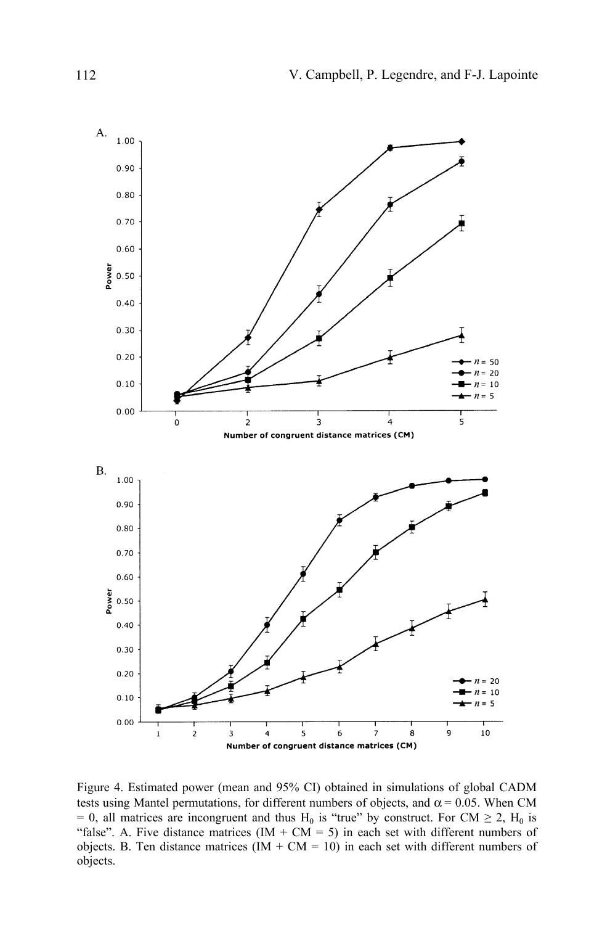

Figure 4. Estimated power (mean and 95% CI) obtained in simulations of global CADM tests using Mantel permutations, for different numbers of objects, and  $\alpha$  = 0.05. When CM = 0, all matrices are incongruent and thus H<sub>0</sub> is "true" by construct. For CM  $\geq$  2, H<sub>0</sub> is "false". A. Five distance matrices  $(IM + CM = 5)$  in each set with different numbers of objects. B. Ten distance matrices  $(IM + CM = 10)$  in each set with different numbers of objects.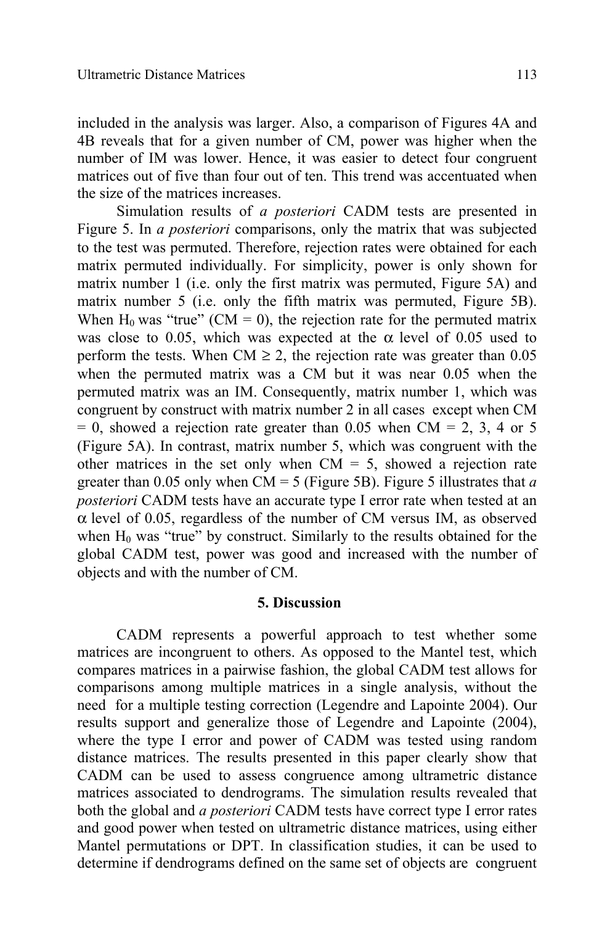included in the analysis was larger. Also, a comparison of Figures 4A and 4B reveals that for a given number of CM, power was higher when the number of IM was lower. Hence, it was easier to detect four congruent matrices out of five than four out of ten. This trend was accentuated when the size of the matrices increases.

Simulation results of *a posteriori* CADM tests are presented in Figure 5. In *a posteriori* comparisons, only the matrix that was subjected to the test was permuted. Therefore, rejection rates were obtained for each matrix permuted individually. For simplicity, power is only shown for matrix number 1 (i.e. only the first matrix was permuted, Figure 5A) and matrix number 5 (i.e. only the fifth matrix was permuted, Figure 5B). When  $H_0$  was "true" (CM = 0), the rejection rate for the permuted matrix was close to 0.05, which was expected at the  $\alpha$  level of 0.05 used to perform the tests. When CM  $\geq$  2, the rejection rate was greater than 0.05 when the permuted matrix was a CM but it was near 0.05 when the permuted matrix was an IM. Consequently, matrix number 1, which was congruent by construct with matrix number 2 in all cases except when CM  $= 0$ , showed a rejection rate greater than 0.05 when CM  $= 2, 3, 4$  or 5 (Figure 5A). In contrast, matrix number 5, which was congruent with the other matrices in the set only when  $CM = 5$ , showed a rejection rate greater than 0.05 only when  $CM = 5$  (Figure 5B). Figure 5 illustrates that *a posteriori* CADM tests have an accurate type I error rate when tested at an  $\alpha$  level of 0.05, regardless of the number of CM versus IM, as observed when  $H_0$  was "true" by construct. Similarly to the results obtained for the global CADM test, power was good and increased with the number of objects and with the number of CM.

### **5. Discussion**

CADM represents a powerful approach to test whether some matrices are incongruent to others. As opposed to the Mantel test, which compares matrices in a pairwise fashion, the global CADM test allows for comparisons among multiple matrices in a single analysis, without the need for a multiple testing correction (Legendre and Lapointe 2004). Our results support and generalize those of Legendre and Lapointe (2004), where the type I error and power of CADM was tested using random distance matrices. The results presented in this paper clearly show that CADM can be used to assess congruence among ultrametric distance matrices associated to dendrograms. The simulation results revealed that both the global and *a posteriori* CADM tests have correct type I error rates and good power when tested on ultrametric distance matrices, using either Mantel permutations or DPT. In classification studies, it can be used to determine if dendrograms defined on the same set of objects are congruent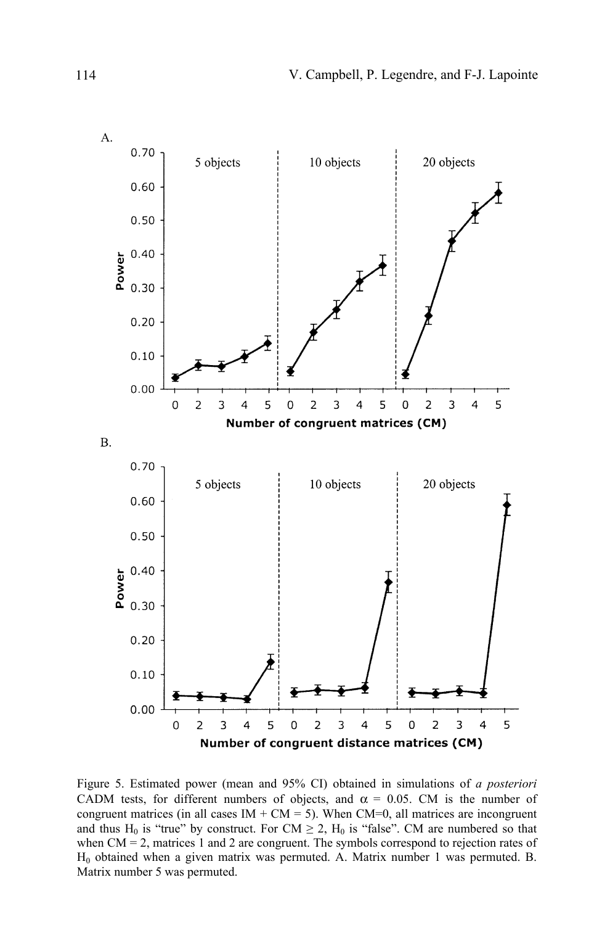

Figure 5. Estimated power (mean and 95% CI) obtained in simulations of *a posteriori*  CADM tests, for different numbers of objects, and  $\alpha = 0.05$ . CM is the number of congruent matrices (in all cases  $IM + CM = 5$ ). When  $CM=0$ , all matrices are incongruent and thus H<sub>0</sub> is "true" by construct. For CM  $\geq$  2, H<sub>0</sub> is "false". CM are numbered so that when  $CM = 2$ , matrices 1 and 2 are congruent. The symbols correspond to rejection rates of H0 obtained when a given matrix was permuted. A. Matrix number 1 was permuted. B. Matrix number 5 was permuted.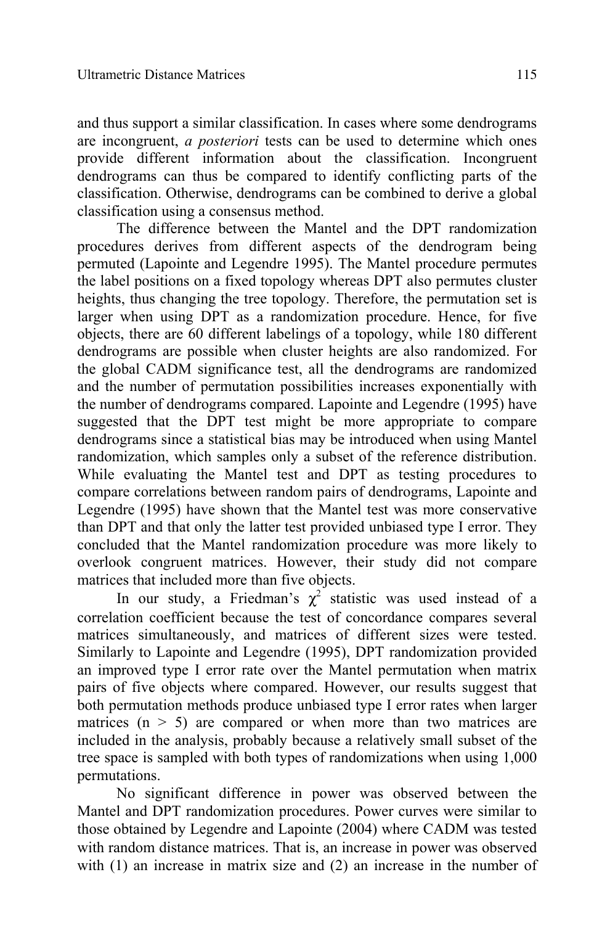and thus support a similar classification. In cases where some dendrograms are incongruent, *a posteriori* tests can be used to determine which ones provide different information about the classification. Incongruent dendrograms can thus be compared to identify conflicting parts of the classification. Otherwise, dendrograms can be combined to derive a global classification using a consensus method.

The difference between the Mantel and the DPT randomization procedures derives from different aspects of the dendrogram being permuted (Lapointe and Legendre 1995). The Mantel procedure permutes the label positions on a fixed topology whereas DPT also permutes cluster heights, thus changing the tree topology. Therefore, the permutation set is larger when using DPT as a randomization procedure. Hence, for five objects, there are 60 different labelings of a topology, while 180 different dendrograms are possible when cluster heights are also randomized. For the global CADM significance test, all the dendrograms are randomized and the number of permutation possibilities increases exponentially with the number of dendrograms compared. Lapointe and Legendre (1995) have suggested that the DPT test might be more appropriate to compare dendrograms since a statistical bias may be introduced when using Mantel randomization, which samples only a subset of the reference distribution. While evaluating the Mantel test and DPT as testing procedures to compare correlations between random pairs of dendrograms, Lapointe and Legendre (1995) have shown that the Mantel test was more conservative than DPT and that only the latter test provided unbiased type I error. They concluded that the Mantel randomization procedure was more likely to overlook congruent matrices. However, their study did not compare matrices that included more than five objects.

In our study, a Friedman's  $\chi^2$  statistic was used instead of a correlation coefficient because the test of concordance compares several matrices simultaneously, and matrices of different sizes were tested. Similarly to Lapointe and Legendre (1995), DPT randomization provided an improved type I error rate over the Mantel permutation when matrix pairs of five objects where compared. However, our results suggest that both permutation methods produce unbiased type I error rates when larger matrices  $(n > 5)$  are compared or when more than two matrices are included in the analysis, probably because a relatively small subset of the tree space is sampled with both types of randomizations when using 1,000 permutations.

No significant difference in power was observed between the Mantel and DPT randomization procedures. Power curves were similar to those obtained by Legendre and Lapointe (2004) where CADM was tested with random distance matrices. That is, an increase in power was observed with (1) an increase in matrix size and (2) an increase in the number of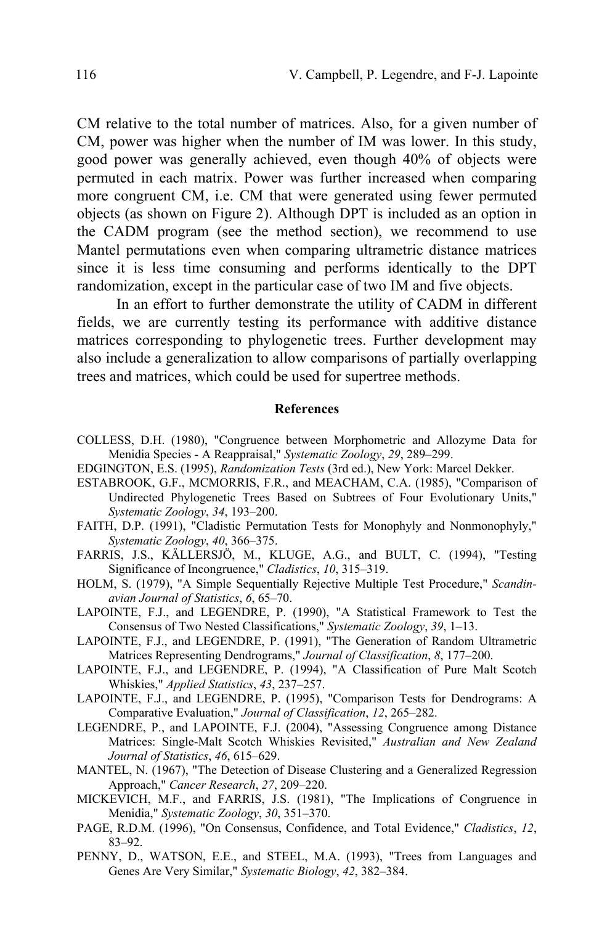CM relative to the total number of matrices. Also, for a given number of CM, power was higher when the number of IM was lower. In this study, good power was generally achieved, even though 40% of objects were permuted in each matrix. Power was further increased when comparing more congruent CM, i.e. CM that were generated using fewer permuted objects (as shown on Figure 2). Although DPT is included as an option in the CADM program (see the method section), we recommend to use Mantel permutations even when comparing ultrametric distance matrices since it is less time consuming and performs identically to the DPT randomization, except in the particular case of two IM and five objects.

In an effort to further demonstrate the utility of CADM in different fields, we are currently testing its performance with additive distance matrices corresponding to phylogenetic trees. Further development may also include a generalization to allow comparisons of partially overlapping trees and matrices, which could be used for supertree methods.

#### **References**

- COLLESS, D.H. (1980), "Congruence between Morphometric and Allozyme Data for Menidia Species - A Reappraisal," *Systematic Zoology*, *29*, 289–299.
- EDGINGTON, E.S. (1995), *Randomization Tests* (3rd ed.), New York: Marcel Dekker.
- ESTABROOK, G.F., MCMORRIS, F.R., and MEACHAM, C.A. (1985), "Comparison of Undirected Phylogenetic Trees Based on Subtrees of Four Evolutionary Units," *Systematic Zoology*, *34*, 193–200.
- FAITH, D.P. (1991), "Cladistic Permutation Tests for Monophyly and Nonmonophyly," *Systematic Zoology*, *40*, 366–375.
- FARRIS, J.S., KÄLLERSJÖ, M., KLUGE, A.G., and BULT, C. (1994), "Testing Significance of Incongruence," *Cladistics*, *10*, 315–319.
- HOLM, S. (1979), "A Simple Sequentially Rejective Multiple Test Procedure," *Scandinavian Journal of Statistics*, *6*, 65–70.
- LAPOINTE, F.J., and LEGENDRE, P. (1990), "A Statistical Framework to Test the Consensus of Two Nested Classifications," *Systematic Zoology*, *39*, 1–13.
- LAPOINTE, F.J., and LEGENDRE, P. (1991), "The Generation of Random Ultrametric Matrices Representing Dendrograms," *Journal of Classification*, *8*, 177–200.
- LAPOINTE, F.J., and LEGENDRE, P. (1994), "A Classification of Pure Malt Scotch Whiskies," *Applied Statistics*, *43*, 237–257.
- LAPOINTE, F.J., and LEGENDRE, P. (1995), "Comparison Tests for Dendrograms: A Comparative Evaluation," *Journal of Classification*, *12*, 265–282.
- LEGENDRE, P., and LAPOINTE, F.J. (2004), "Assessing Congruence among Distance Matrices: Single-Malt Scotch Whiskies Revisited," *Australian and New Zealand Journal of Statistics*, *46*, 615–629.
- MANTEL, N. (1967), "The Detection of Disease Clustering and a Generalized Regression Approach," *Cancer Research*, *27*, 209–220.
- MICKEVICH, M.F., and FARRIS, J.S. (1981), "The Implications of Congruence in Menidia," *Systematic Zoology*, *30*, 351–370.
- PAGE, R.D.M. (1996), "On Consensus, Confidence, and Total Evidence," *Cladistics*, *12*, 83–92.
- PENNY, D., WATSON, E.E., and STEEL, M.A. (1993), "Trees from Languages and Genes Are Very Similar," *Systematic Biology*, *42*, 382–384.